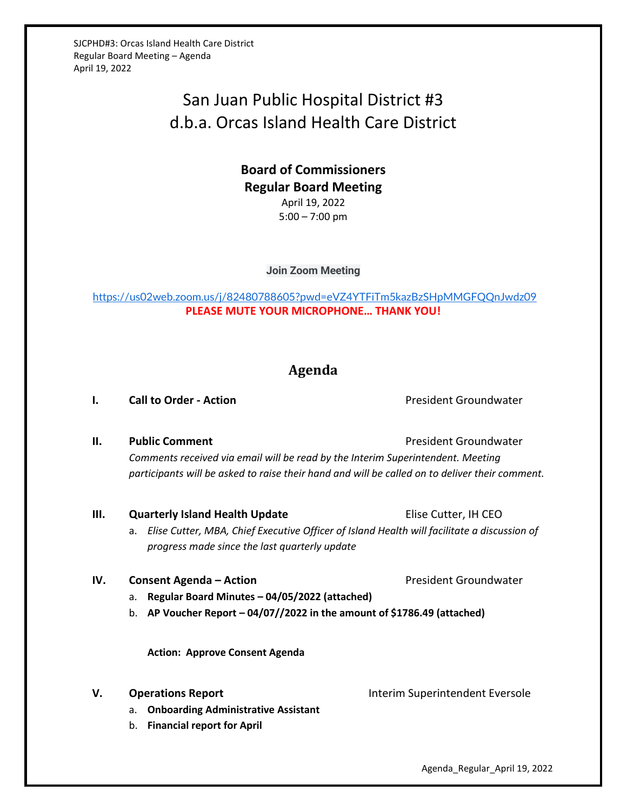SJCPHD#3: Orcas Island Health Care District Regular Board Meeting – Agenda April 19, 2022

# San Juan Public Hospital District #3 d.b.a. Orcas Island Health Care District

# **Board of Commissioners Regular Board Meeting** April 19, 2022 5:00 – 7:00 pm

**Join Zoom Meeting**

<https://us02web.zoom.us/j/82480788605?pwd=eVZ4YTFiTm5kazBzSHpMMGFQQnJwdz09> **PLEASE MUTE YOUR MICROPHONE… THANK YOU!**

# **Agenda**

**I. Call to Order - Action Call to Order - Action President Groundwater** 

**II. Public Comment President Groundwater President Groundwater** *Comments received via email will be read by the Interim Superintendent. Meeting participants will be asked to raise their hand and will be called on to deliver their comment.*

**III.** Quarterly Island Health Update **Example 20 Elise Cutter, IH CEO** a. *Elise Cutter, MBA, Chief Executive Officer of Island Health will facilitate a discussion of progress made since the last quarterly update*

- a. **Regular Board Minutes – 04/05/2022 (attached)**
- b. **AP Voucher Report – 04/07//2022 in the amount of \$1786.49 (attached)**

**IV. Consent Agenda – Action President Groundwater** 

**Action: Approve Consent Agenda**

- a. **Onboarding Administrative Assistant**
- b. **Financial report for April**

**V. Operations Report Interim Superintendent Eversole** 

Agenda\_Regular\_April 19, 2022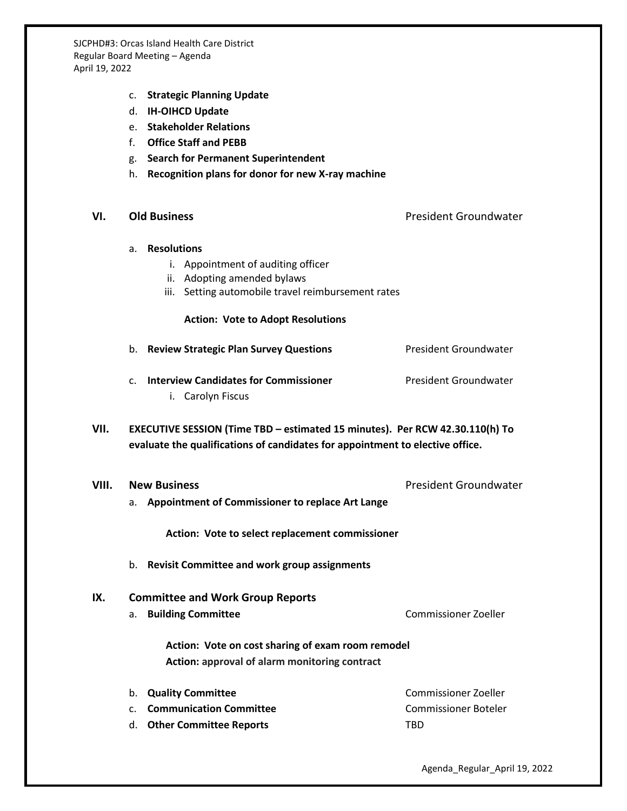SJCPHD#3: Orcas Island Health Care District Regular Board Meeting – Agenda April 19, 2022

- c. **Strategic Planning Update**
- d. **IH-OIHCD Update**
- e. **Stakeholder Relations**
- f. **Office Staff and PEBB**
- g. **Search for Permanent Superintendent**
- h. **Recognition plans for donor for new X-ray machine**

**VI. Old Business** President Groundwater

### a. **Resolutions**

- i. Appointment of auditing officer
- ii. Adopting amended bylaws
- iii. Setting automobile travel reimbursement rates

### **Action: Vote to Adopt Resolutions**

- b. **Review Strategic Plan Survey Questions** President Groundwater
- c. **Interview Candidates for Commissioner** President Groundwater
	- i. Carolyn Fiscus
- **VII. EXECUTIVE SESSION (Time TBD – estimated 15 minutes). Per RCW 42.30.110(h) To evaluate the qualifications of candidates for appointment to elective office.**
- **VIII.** New Business **President Groundwater President Groundwater** a. **Appointment of Commissioner to replace Art Lange**

**Action: Vote to select replacement commissioner**

b. **Revisit Committee and work group assignments**

### **IX. Committee and Work Group Reports**

a. **Building Committee** Commissioner Zoeller

**Action: Vote on cost sharing of exam room remodel Action: approval of alarm monitoring contract**

b. **Quality Committee Commissioner Zoeller** c. **Communication Committee** Commissioner Boteler d. **Other Committee Reports** TBD